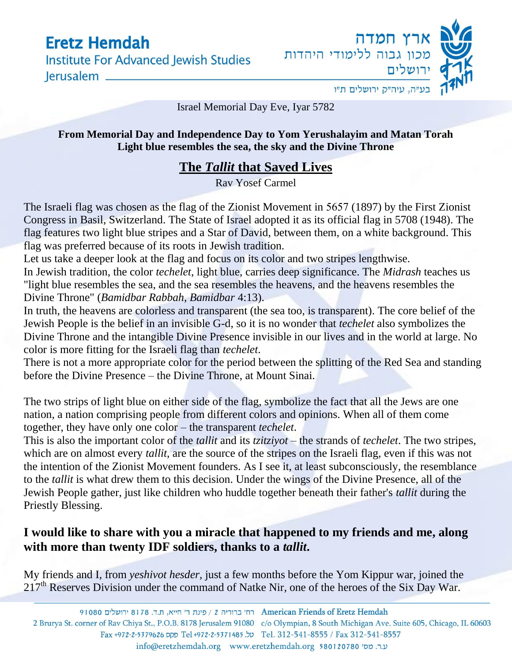**Institute For Advanced Jewish Studies** lerusalem \_\_



Israel Memorial Day Eve, Iyar 5782

**From Memorial Day and Independence Day to Yom Yerushalayim and Matan Torah Light blue resembles the sea, the sky and the Divine Throne** 

#### **The** *Tallit* **that Saved Lives**

Rav Yosef Carmel

The Israeli flag was chosen as the flag of the Zionist Movement in 5657 (1897) by the First Zionist Congress in Basil, Switzerland. The State of Israel adopted it as its official flag in 5708 (1948). The flag features two light blue stripes and a Star of David, between them, on a white background. This flag was preferred because of its roots in Jewish tradition.

Let us take a deeper look at the flag and focus on its color and two stripes lengthwise.

In Jewish tradition, the color *techelet*, light blue, carries deep significance. The *Midrash* teaches us "light blue resembles the sea, and the sea resembles the heavens, and the heavens resembles the Divine Throne" (*Bamidbar Rabbah, Bamidbar* 4:13).

In truth, the heavens are colorless and transparent (the sea too, is transparent). The core belief of the Jewish People is the belief in an invisible G-d, so it is no wonder that *techelet* also symbolizes the Divine Throne and the intangible Divine Presence invisible in our lives and in the world at large. No color is more fitting for the Israeli flag than *techelet*.

There is not a more appropriate color for the period between the splitting of the Red Sea and standing before the Divine Presence – the Divine Throne, at Mount Sinai.

The two strips of light blue on either side of the flag, symbolize the fact that all the Jews are one nation, a nation comprising people from different colors and opinions. When all of them come together, they have only one color – the transparent *techelet*.

This is also the important color of the *tallit* and its *tzitziyot* – the strands of *techelet*. The two stripes, which are on almost every *tallit*, are the source of the stripes on the Israeli flag, even if this was not the intention of the Zionist Movement founders. As I see it, at least subconsciously, the resemblance to the *tallit* is what drew them to this decision. Under the wings of the Divine Presence, all of the Jewish People gather, just like children who huddle together beneath their father's *tallit* during the Priestly Blessing.

#### **I would like to share with you a miracle that happened to my friends and me, along with more than twenty IDF soldiers, thanks to a** *tallit***.**

My friends and I, from *yeshivot hesder*, just a few months before the Yom Kippur war, joined the 217<sup>th</sup> Reserves Division under the command of Natke Nir, one of the heroes of the Six Day War.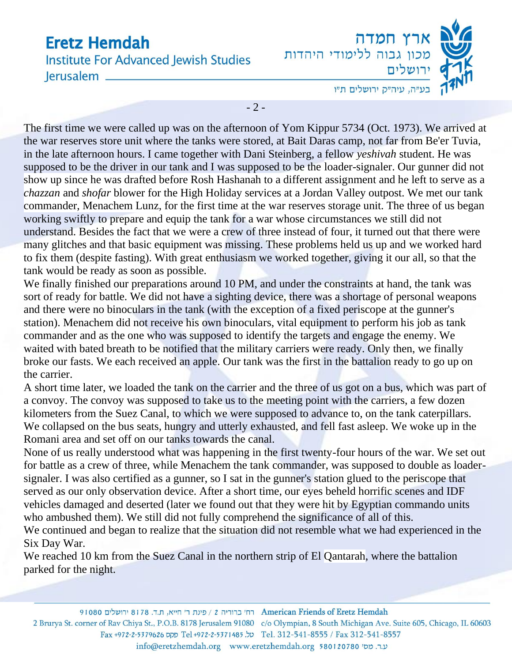**Institute For Advanced Jewish Studies** lerusalem



 $-2-$ 

The first time we were called up was on the afternoon of Yom Kippur 5734 (Oct. 1973). We arrived at the war reserves store unit where the tanks were stored, at Bait Daras camp, not far from Be'er Tuvia, in the late afternoon hours. I came together with Dani Steinberg, a fellow *yeshivah* student. He was supposed to be the driver in our tank and I was supposed to be the loader-signaler. Our gunner did not show up since he was drafted before Rosh Hashanah to a different assignment and he left to serve as a *chazzan* and *shofar* blower for the High Holiday services at a Jordan Valley outpost. We met our tank commander, Menachem Lunz, for the first time at the war reserves storage unit. The three of us began working swiftly to prepare and equip the tank for a war whose circumstances we still did not understand. Besides the fact that we were a crew of three instead of four, it turned out that there were many glitches and that basic equipment was missing. These problems held us up and we worked hard to fix them (despite fasting). With great enthusiasm we worked together, giving it our all, so that the tank would be ready as soon as possible.

We finally finished our preparations around 10 PM, and under the constraints at hand, the tank was sort of ready for battle. We did not have a sighting device, there was a shortage of personal weapons and there were no binoculars in the tank (with the exception of a fixed periscope at the gunner's station). Menachem did not receive his own binoculars, vital equipment to perform his job as tank commander and as the one who was supposed to identify the targets and engage the enemy. We waited with bated breath to be notified that the military carriers were ready. Only then, we finally broke our fasts. We each received an apple. Our tank was the first in the battalion ready to go up on the carrier.

A short time later, we loaded the tank on the carrier and the three of us got on a bus, which was part of a convoy. The convoy was supposed to take us to the meeting point with the carriers, a few dozen kilometers from the Suez Canal, to which we were supposed to advance to, on the tank caterpillars. We collapsed on the bus seats, hungry and utterly exhausted, and fell fast asleep. We woke up in the Romani area and set off on our tanks towards the canal.

None of us really understood what was happening in the first twenty-four hours of the war. We set out for battle as a crew of three, while Menachem the tank commander, was supposed to double as loadersignaler. I was also certified as a gunner, so I sat in the gunner's station glued to the periscope that served as our only observation device. After a short time, our eyes beheld horrific scenes and IDF vehicles damaged and deserted (later we found out that they were hit by Egyptian commando units who ambushed them). We still did not fully comprehend the significance of all of this.

We continued and began to realize that the situation did not resemble what we had experienced in the Six Day War.

We reached 10 km from the Suez Canal in the northern strip of El Qantarah, where the battalion parked for the night.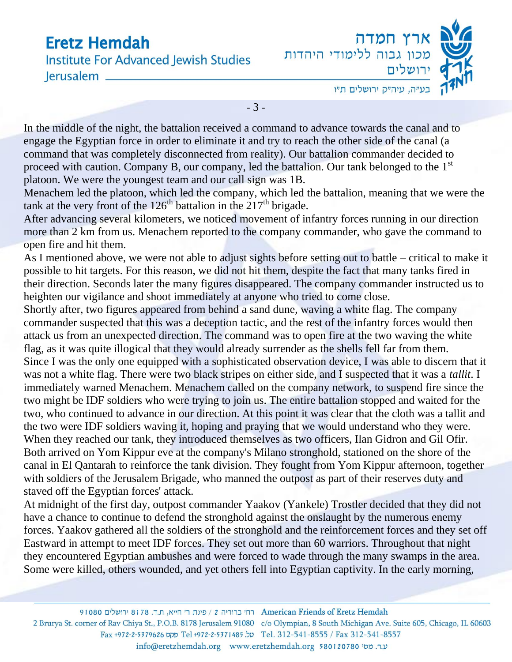**Institute For Advanced Jewish Studies** lerusalem \_



- 3 -

In the middle of the night, the battalion received a command to advance towards the canal and to engage the Egyptian force in order to eliminate it and try to reach the other side of the canal (a command that was completely disconnected from reality). Our battalion commander decided to proceed with caution. Company B, our company, led the battalion. Our tank belonged to the  $1<sup>st</sup>$ platoon. We were the youngest team and our call sign was 1B.

Menachem led the platoon, which led the company, which led the battalion, meaning that we were the tank at the very front of the  $126<sup>th</sup>$  battalion in the  $217<sup>th</sup>$  brigade.

After advancing several kilometers, we noticed movement of infantry forces running in our direction more than 2 km from us. Menachem reported to the company commander, who gave the command to open fire and hit them.

As I mentioned above, we were not able to adjust sights before setting out to battle – critical to make it possible to hit targets. For this reason, we did not hit them, despite the fact that many tanks fired in their direction. Seconds later the many figures disappeared. The company commander instructed us to heighten our vigilance and shoot immediately at anyone who tried to come close.

Shortly after, two figures appeared from behind a sand dune, waving a white flag. The company commander suspected that this was a deception tactic, and the rest of the infantry forces would then attack us from an unexpected direction. The command was to open fire at the two waving the white flag, as it was quite illogical that they would already surrender as the shells fell far from them. Since I was the only one equipped with a sophisticated observation device, I was able to discern that it was not a white flag. There were two black stripes on either side, and I suspected that it was a *tallit*. I immediately warned Menachem. Menachem called on the company network, to suspend fire since the two might be IDF soldiers who were trying to join us. The entire battalion stopped and waited for the two, who continued to advance in our direction. At this point it was clear that the cloth was a tallit and the two were IDF soldiers waving it, hoping and praying that we would understand who they were. When they reached our tank, they introduced themselves as two officers, Ilan Gidron and Gil Ofir. Both arrived on Yom Kippur eve at the company's Milano stronghold, stationed on the shore of the canal in El Qantarah to reinforce the tank division. They fought from Yom Kippur afternoon, together with soldiers of the Jerusalem Brigade, who manned the outpost as part of their reserves duty and staved off the Egyptian forces' attack.

At midnight of the first day, outpost commander Yaakov (Yankele) Trostler decided that they did not have a chance to continue to defend the stronghold against the onslaught by the numerous enemy forces. Yaakov gathered all the soldiers of the stronghold and the reinforcement forces and they set off Eastward in attempt to meet IDF forces. They set out more than 60 warriors. Throughout that night they encountered Egyptian ambushes and were forced to wade through the many swamps in the area. Some were killed, others wounded, and yet others fell into Egyptian captivity. In the early morning,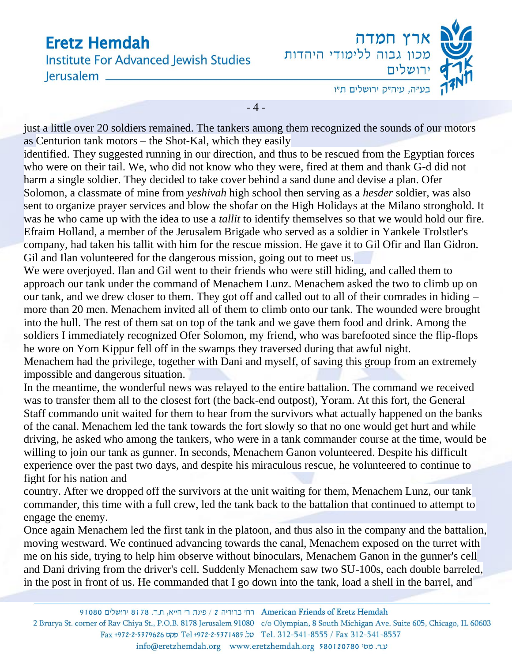**Institute For Advanced Jewish Studies** lerusalem



 $-4-$ 

just a little over 20 soldiers remained. The tankers among them recognized the sounds of our motors as Centurion tank motors – the Shot-Kal, which they easily

identified. They suggested running in our direction, and thus to be rescued from the Egyptian forces who were on their tail. We, who did not know who they were, fired at them and thank G-d did not harm a single soldier. They decided to take cover behind a sand dune and devise a plan. Ofer Solomon, a classmate of mine from *yeshivah* high school then serving as a *hesder* soldier, was also sent to organize prayer services and blow the shofar on the High Holidays at the Milano stronghold. It was he who came up with the idea to use a *tallit* to identify themselves so that we would hold our fire. Efraim Holland, a member of the Jerusalem Brigade who served as a soldier in Yankele Trolstler's company, had taken his tallit with him for the rescue mission. He gave it to Gil Ofir and Ilan Gidron. Gil and Ilan volunteered for the dangerous mission, going out to meet us.

We were overjoyed. Ilan and Gil went to their friends who were still hiding, and called them to approach our tank under the command of Menachem Lunz. Menachem asked the two to climb up on our tank, and we drew closer to them. They got off and called out to all of their comrades in hiding – more than 20 men. Menachem invited all of them to climb onto our tank. The wounded were brought into the hull. The rest of them sat on top of the tank and we gave them food and drink. Among the soldiers I immediately recognized Ofer Solomon, my friend, who was barefooted since the flip-flops he wore on Yom Kippur fell off in the swamps they traversed during that awful night.

Menachem had the privilege, together with Dani and myself, of saving this group from an extremely impossible and dangerous situation.

In the meantime, the wonderful news was relayed to the entire battalion. The command we received was to transfer them all to the closest fort (the back-end outpost), Yoram. At this fort, the General Staff commando unit waited for them to hear from the survivors what actually happened on the banks of the canal. Menachem led the tank towards the fort slowly so that no one would get hurt and while driving, he asked who among the tankers, who were in a tank commander course at the time, would be willing to join our tank as gunner. In seconds, Menachem Ganon volunteered. Despite his difficult experience over the past two days, and despite his miraculous rescue, he volunteered to continue to fight for his nation and

country. After we dropped off the survivors at the unit waiting for them, Menachem Lunz, our tank commander, this time with a full crew, led the tank back to the battalion that continued to attempt to engage the enemy.

Once again Menachem led the first tank in the platoon, and thus also in the company and the battalion, moving westward. We continued advancing towards the canal, Menachem exposed on the turret with me on his side, trying to help him observe without binoculars, Menachem Ganon in the gunner's cell and Dani driving from the driver's cell. Suddenly Menachem saw two SU-100s, each double barreled, in the post in front of us. He commanded that I go down into the tank, load a shell in the barrel, and